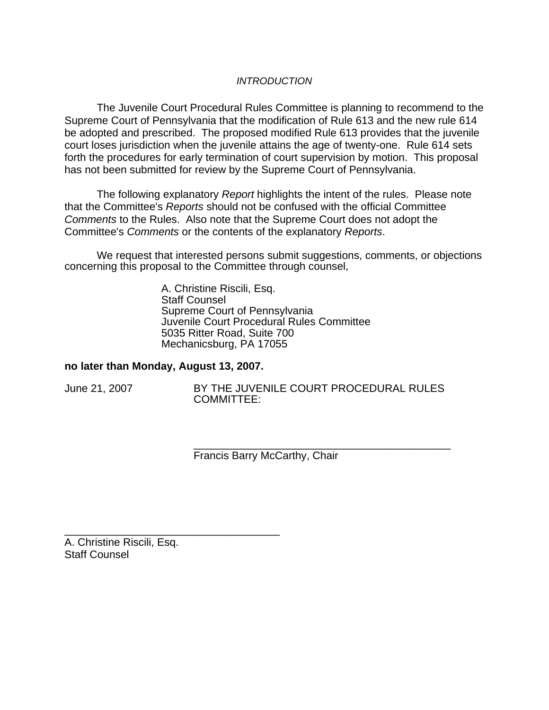## *INTRODUCTION*

The Juvenile Court Procedural Rules Committee is planning to recommend to the Supreme Court of Pennsylvania that the modification of Rule 613 and the new rule 614 be adopted and prescribed. The proposed modified Rule 613 provides that the juvenile court loses jurisdiction when the juvenile attains the age of twenty-one. Rule 614 sets forth the procedures for early termination of court supervision by motion. This proposal has not been submitted for review by the Supreme Court of Pennsylvania.

The following explanatory *Report* highlights the intent of the rules. Please note that the Committee's *Reports* should not be confused with the official Committee *Comments* to the Rules. Also note that the Supreme Court does not adopt the Committee's *Comments* or the contents of the explanatory *Reports*.

We request that interested persons submit suggestions, comments, or objections concerning this proposal to the Committee through counsel,

> A. Christine Riscili, Esq. Staff Counsel Supreme Court of Pennsylvania Juvenile Court Procedural Rules Committee 5035 Ritter Road, Suite 700 Mechanicsburg, PA 17055

#### **no later than Monday, August 13, 2007.**

\_\_\_\_\_\_\_\_\_\_\_\_\_\_\_\_\_\_\_\_\_\_\_\_\_\_\_\_\_\_\_\_\_\_\_\_

June 21, 2007 BY THE JUVENILE COURT PROCEDURAL RULES COMMITTEE:

\_\_\_\_\_\_\_\_\_\_\_\_\_\_\_\_\_\_\_\_\_\_\_\_\_\_\_\_\_\_\_\_\_\_\_\_\_\_\_\_\_\_\_

Francis Barry McCarthy, Chair

A. Christine Riscili, Esq. Staff Counsel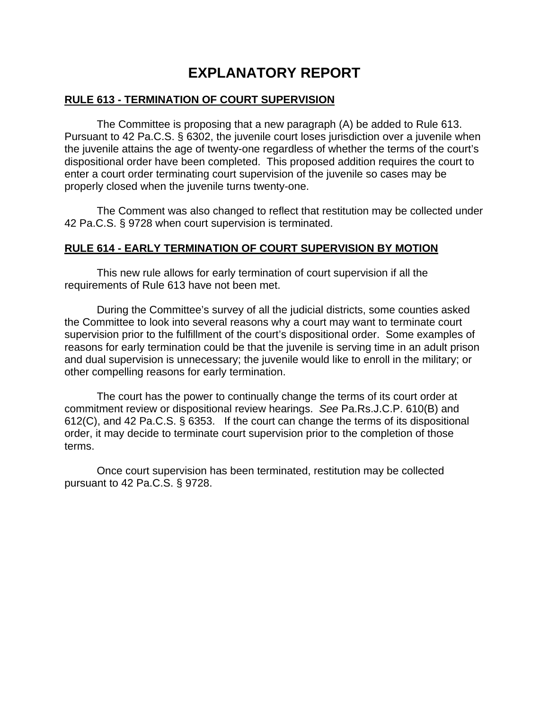# **EXPLANATORY REPORT**

## **RULE 613 - TERMINATION OF COURT SUPERVISION**

 The Committee is proposing that a new paragraph (A) be added to Rule 613. Pursuant to 42 Pa.C.S. § 6302, the juvenile court loses jurisdiction over a juvenile when the juvenile attains the age of twenty-one regardless of whether the terms of the court's dispositional order have been completed. This proposed addition requires the court to enter a court order terminating court supervision of the juvenile so cases may be properly closed when the juvenile turns twenty-one.

 The Comment was also changed to reflect that restitution may be collected under 42 Pa.C.S. § 9728 when court supervision is terminated.

## **RULE 614 - EARLY TERMINATION OF COURT SUPERVISION BY MOTION**

 This new rule allows for early termination of court supervision if all the requirements of Rule 613 have not been met.

 During the Committee's survey of all the judicial districts, some counties asked the Committee to look into several reasons why a court may want to terminate court supervision prior to the fulfillment of the court's dispositional order. Some examples of reasons for early termination could be that the juvenile is serving time in an adult prison and dual supervision is unnecessary; the juvenile would like to enroll in the military; or other compelling reasons for early termination.

The court has the power to continually change the terms of its court order at commitment review or dispositional review hearings. *See* Pa.Rs.J.C.P. 610(B) and 612(C), and 42 Pa.C.S. § 6353. If the court can change the terms of its dispositional order, it may decide to terminate court supervision prior to the completion of those terms.

 Once court supervision has been terminated, restitution may be collected pursuant to 42 Pa.C.S. § 9728.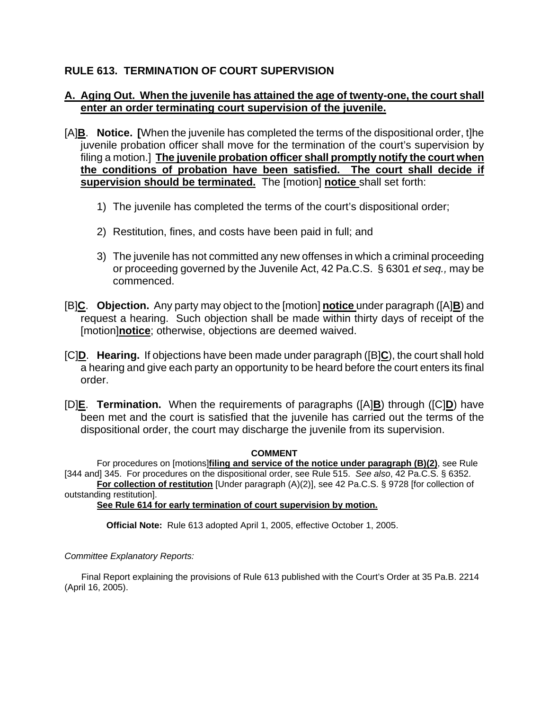# **RULE 613. TERMINATION OF COURT SUPERVISION**

## **A. Aging Out. When the juvenile has attained the age of twenty-one, the court shall enter an order terminating court supervision of the juvenile.**

- [A]**B**. **Notice. [**When the juvenile has completed the terms of the dispositional order, t]he juvenile probation officer shall move for the termination of the court's supervision by filing a motion.] **The juvenile probation officer shall promptly notify the court when the conditions of probation have been satisfied. The court shall decide if supervision should be terminated.** The [motion] **notice** shall set forth:
	- 1) The juvenile has completed the terms of the court's dispositional order;
	- 2) Restitution, fines, and costs have been paid in full; and
	- 3) The juvenile has not committed any new offenses in which a criminal proceeding or proceeding governed by the Juvenile Act, 42 Pa.C.S. § 6301 *et seq.,* may be commenced.
- [B]**C**. **Objection.** Any party may object to the [motion] **notice** under paragraph ([A]**B**) and request a hearing. Such objection shall be made within thirty days of receipt of the [motion]**notice**; otherwise, objections are deemed waived.
- [C]**D**. **Hearing.** If objections have been made under paragraph ([B]**C**), the court shall hold a hearing and give each party an opportunity to be heard before the court enters its final order.
- [D]**E**. **Termination.** When the requirements of paragraphs ([A]**B**) through ([C]**D**) have been met and the court is satisfied that the juvenile has carried out the terms of the dispositional order, the court may discharge the juvenile from its supervision.

#### **COMMENT**

For procedures on [motions]**filing and service of the notice under paragraph (B)(2)**, see Rule [344 and] 345. For procedures on the dispositional order, see Rule 515. *See also*, 42 Pa.C.S. § 6352.

**For collection of restitution** [Under paragraph (A)(2)], see 42 Pa.C.S. § 9728 [for collection of outstanding restitution].

**See Rule 614 for early termination of court supervision by motion.**

**Official Note:** Rule 613 adopted April 1, 2005, effective October 1, 2005.

#### *Committee Explanatory Reports:*

Final Report explaining the provisions of Rule 613 published with the Court's Order at 35 Pa.B. 2214 (April 16, 2005).